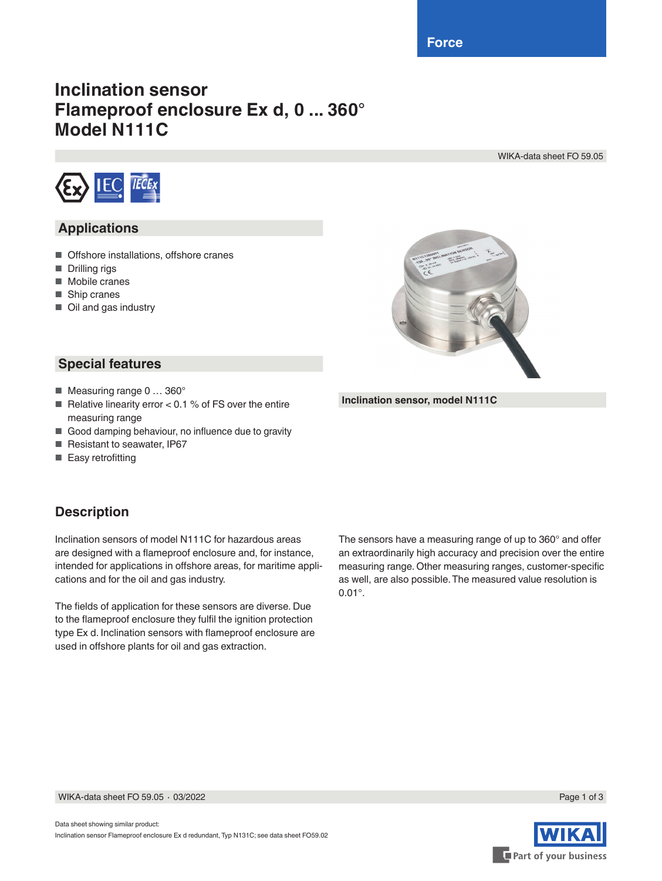**Force**

# **Inclination sensor Flameproof enclosure Ex d, 0 ... 360° Model N111C**

WIKA-data sheet FO 59.05



## **Applications**

- Offshore installations, offshore cranes
- Drilling rigs
- Mobile cranes
- Ship cranes
- Oil and gas industry



**Inclination sensor, model N111C**

#### **Special features**

- Measuring range 0 ... 360°
- Relative linearity error <  $0.1$  % of FS over the entire measuring range
- Good damping behaviour, no influence due to gravity
- Resistant to seawater, IP67
- Easy retrofitting

## **Description**

Inclination sensors of model N111C for hazardous areas are designed with a flameproof enclosure and, for instance, intended for applications in offshore areas, for maritime applications and for the oil and gas industry.

The fields of application for these sensors are diverse. Due to the flameproof enclosure they fulfil the ignition protection type Ex d. Inclination sensors with flameproof enclosure are used in offshore plants for oil and gas extraction.

The sensors have a measuring range of up to 360° and offer an extraordinarily high accuracy and precision over the entire measuring range. Other measuring ranges, customer-specific as well, are also possible. The measured value resolution is 0.01°.



WIKA-data sheet FO 59.05 ⋅ 03/2022 Page 1 of 3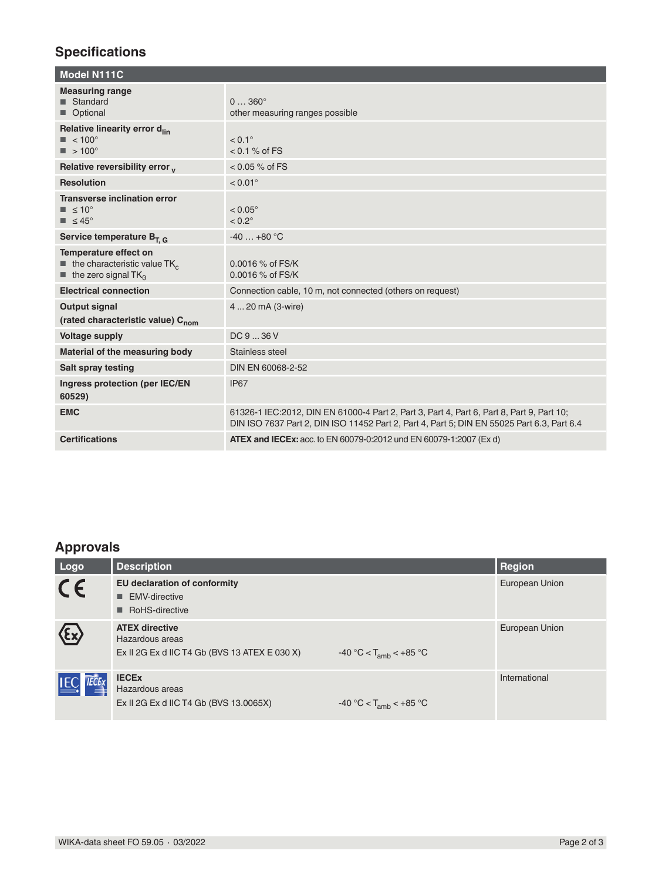# **Specifications**

| <b>Measuring range</b><br><b>■</b> Standard<br>$0360^{\circ}$<br>Optional<br>other measuring ranges possible<br>Relative linearity error d <sub>lin</sub><br>$< 0.1^\circ$<br>$\blacksquare$ < 100 $^{\circ}$<br>$\blacksquare$ > 100°<br>$< 0.1 \%$ of FS<br>Relative reversibility error v<br>$< 0.05 %$ of FS<br><b>Resolution</b><br>$< 0.01^{\circ}$<br><b>Transverse inclination error</b><br>$\blacksquare$ $\leq 10^{\circ}$<br>$< 0.05^{\circ}$<br>$< 0.2^\circ$<br>$\blacksquare$ $\leq 45^{\circ}$<br>$-40+80$ °C<br>Service temperature $B_{T,G}$<br>Temperature effect on<br>$\blacksquare$ the characteristic value TK <sub>c</sub><br>0.0016 % of FS/K<br>0.0016 % of FS/K<br>$\blacksquare$ the zero signal TK <sub>o</sub><br><b>Electrical connection</b><br>Connection cable, 10 m, not connected (others on request)<br><b>Output signal</b><br>4  20 mA (3-wire)<br>(rated characteristic value) C <sub>nom</sub><br>DC936V<br><b>Voltage supply</b><br>Material of the measuring body<br>Stainless steel<br>Salt spray testing<br>DIN EN 60068-2-52<br>Ingress protection (per IEC/EN<br>IP67<br>60529)<br><b>EMC</b><br>61326-1 IEC: 2012, DIN EN 61000-4 Part 2, Part 3, Part 4, Part 6, Part 8, Part 9, Part 10;<br>DIN ISO 7637 Part 2, DIN ISO 11452 Part 2, Part 4, Part 5; DIN EN 55025 Part 6.3, Part 6.4<br><b>Certifications</b><br><b>ATEX and IECEx:</b> acc. to EN 60079-0:2012 und EN 60079-1:2007 (Ex d) | <b>Model N111C</b> |  |
|-----------------------------------------------------------------------------------------------------------------------------------------------------------------------------------------------------------------------------------------------------------------------------------------------------------------------------------------------------------------------------------------------------------------------------------------------------------------------------------------------------------------------------------------------------------------------------------------------------------------------------------------------------------------------------------------------------------------------------------------------------------------------------------------------------------------------------------------------------------------------------------------------------------------------------------------------------------------------------------------------------------------------------------------------------------------------------------------------------------------------------------------------------------------------------------------------------------------------------------------------------------------------------------------------------------------------------------------------------------------------------------------------------------------------------------------------|--------------------|--|
|                                                                                                                                                                                                                                                                                                                                                                                                                                                                                                                                                                                                                                                                                                                                                                                                                                                                                                                                                                                                                                                                                                                                                                                                                                                                                                                                                                                                                                               |                    |  |
|                                                                                                                                                                                                                                                                                                                                                                                                                                                                                                                                                                                                                                                                                                                                                                                                                                                                                                                                                                                                                                                                                                                                                                                                                                                                                                                                                                                                                                               |                    |  |
|                                                                                                                                                                                                                                                                                                                                                                                                                                                                                                                                                                                                                                                                                                                                                                                                                                                                                                                                                                                                                                                                                                                                                                                                                                                                                                                                                                                                                                               |                    |  |
|                                                                                                                                                                                                                                                                                                                                                                                                                                                                                                                                                                                                                                                                                                                                                                                                                                                                                                                                                                                                                                                                                                                                                                                                                                                                                                                                                                                                                                               |                    |  |
|                                                                                                                                                                                                                                                                                                                                                                                                                                                                                                                                                                                                                                                                                                                                                                                                                                                                                                                                                                                                                                                                                                                                                                                                                                                                                                                                                                                                                                               |                    |  |
|                                                                                                                                                                                                                                                                                                                                                                                                                                                                                                                                                                                                                                                                                                                                                                                                                                                                                                                                                                                                                                                                                                                                                                                                                                                                                                                                                                                                                                               |                    |  |
|                                                                                                                                                                                                                                                                                                                                                                                                                                                                                                                                                                                                                                                                                                                                                                                                                                                                                                                                                                                                                                                                                                                                                                                                                                                                                                                                                                                                                                               |                    |  |
|                                                                                                                                                                                                                                                                                                                                                                                                                                                                                                                                                                                                                                                                                                                                                                                                                                                                                                                                                                                                                                                                                                                                                                                                                                                                                                                                                                                                                                               |                    |  |
|                                                                                                                                                                                                                                                                                                                                                                                                                                                                                                                                                                                                                                                                                                                                                                                                                                                                                                                                                                                                                                                                                                                                                                                                                                                                                                                                                                                                                                               |                    |  |
|                                                                                                                                                                                                                                                                                                                                                                                                                                                                                                                                                                                                                                                                                                                                                                                                                                                                                                                                                                                                                                                                                                                                                                                                                                                                                                                                                                                                                                               |                    |  |
|                                                                                                                                                                                                                                                                                                                                                                                                                                                                                                                                                                                                                                                                                                                                                                                                                                                                                                                                                                                                                                                                                                                                                                                                                                                                                                                                                                                                                                               |                    |  |
|                                                                                                                                                                                                                                                                                                                                                                                                                                                                                                                                                                                                                                                                                                                                                                                                                                                                                                                                                                                                                                                                                                                                                                                                                                                                                                                                                                                                                                               |                    |  |
|                                                                                                                                                                                                                                                                                                                                                                                                                                                                                                                                                                                                                                                                                                                                                                                                                                                                                                                                                                                                                                                                                                                                                                                                                                                                                                                                                                                                                                               |                    |  |
|                                                                                                                                                                                                                                                                                                                                                                                                                                                                                                                                                                                                                                                                                                                                                                                                                                                                                                                                                                                                                                                                                                                                                                                                                                                                                                                                                                                                                                               |                    |  |
|                                                                                                                                                                                                                                                                                                                                                                                                                                                                                                                                                                                                                                                                                                                                                                                                                                                                                                                                                                                                                                                                                                                                                                                                                                                                                                                                                                                                                                               |                    |  |

# **Approvals**

| Logo                                  | <b>Description</b>                                                                        |                             | Region         |
|---------------------------------------|-------------------------------------------------------------------------------------------|-----------------------------|----------------|
| CE                                    | <b>EU declaration of conformity</b><br>■ EMV-directive<br>RoHS-directive                  |                             | European Union |
| $\langle \epsilon \mathbf{x} \rangle$ | <b>ATEX directive</b><br>Hazardous areas<br>Ex II 2G Ex d IIC T4 Gb (BVS 13 ATEX E 030 X) | $-40 °C < T_{amb} < +85 °C$ | European Union |
| <b>IEC IECEX</b>                      | <b>IECEX</b><br>Hazardous areas<br>Ex II 2G Ex d IIC T4 Gb (BVS 13.0065X)                 | $-40 °C < T_{amb} < +85 °C$ | International  |